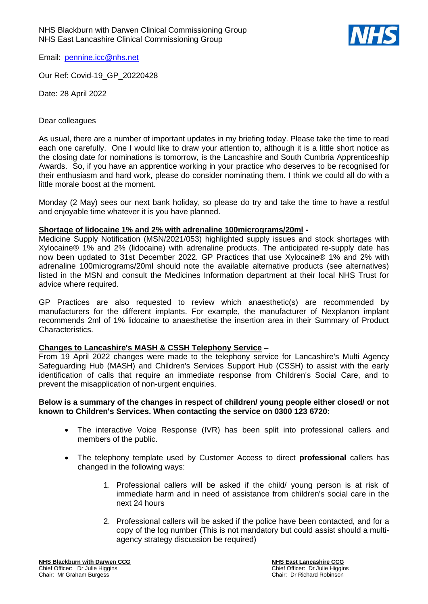

Email: [pennine.icc@nhs.net](mailto:pennine.icc@nhs.net)

Our Ref: Covid-19\_GP\_20220428

Date: 28 April 2022

#### Dear colleagues

As usual, there are a number of important updates in my briefing today. Please take the time to read each one carefully. One I would like to draw your attention to, although it is a little short notice as the closing date for nominations is tomorrow, is the Lancashire and South Cumbria Apprenticeship Awards. So, if you have an apprentice working in your practice who deserves to be recognised for their enthusiasm and hard work, please do consider nominating them. I think we could all do with a little morale boost at the moment.

Monday (2 May) sees our next bank holiday, so please do try and take the time to have a restful and enjoyable time whatever it is you have planned.

### **Shortage of lidocaine 1% and 2% with adrenaline 100micrograms/20ml -**

Medicine Supply Notification (MSN/2021/053) highlighted supply issues and stock shortages with Xylocaine® 1% and 2% (lidocaine) with adrenaline products. The anticipated re-supply date has now been updated to 31st December 2022. GP Practices that use Xylocaine® 1% and 2% with adrenaline 100micrograms/20ml should note the available alternative products (see alternatives) listed in the MSN and consult the Medicines Information department at their local NHS Trust for advice where required.

GP Practices are also requested to review which anaesthetic(s) are recommended by manufacturers for the different implants. For example, the manufacturer of Nexplanon implant recommends 2ml of 1% lidocaine to anaesthetise the insertion area in their Summary of Product Characteristics.

# **Changes to Lancashire's MASH & CSSH Telephony Service –**

From 19 April 2022 changes were made to the telephony service for Lancashire's Multi Agency Safeguarding Hub (MASH) and Children's Services Support Hub (CSSH) to assist with the early identification of calls that require an immediate response from Children's Social Care, and to prevent the misapplication of non-urgent enquiries.

### **Below is a summary of the changes in respect of children/ young people either closed/ or not known to Children's Services. When contacting the service on 0300 123 6720:**

- The interactive Voice Response (IVR) has been split into professional callers and members of the public.
- The telephony template used by Customer Access to direct **professional** callers has changed in the following ways:
	- 1. Professional callers will be asked if the child/ young person is at risk of immediate harm and in need of assistance from children's social care in the next 24 hours
	- 2. Professional callers will be asked if the police have been contacted, and for a copy of the log number (This is not mandatory but could assist should a multiagency strategy discussion be required)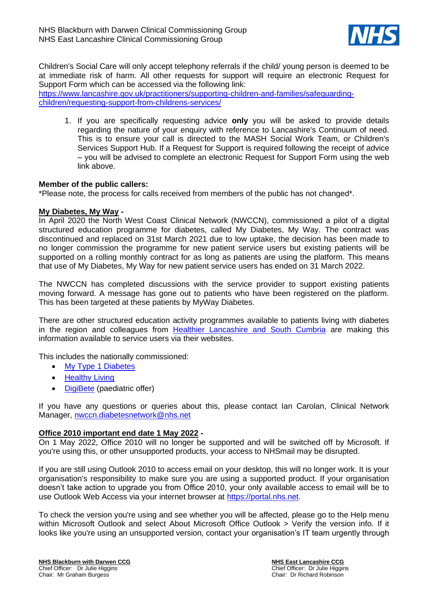

Children's Social Care will only accept telephony referrals if the child/ young person is deemed to be at immediate risk of harm. All other requests for support will require an electronic Request for Support Form which can be accessed via the following link:

[https://www.lancashire.gov.uk/practitioners/supporting-children-and-families/safeguarding](https://www.lancashire.gov.uk/practitioners/supporting-children-and-families/safeguarding-children/requesting-support-from-childrens-services/)[children/requesting-support-from-childrens-services/](https://www.lancashire.gov.uk/practitioners/supporting-children-and-families/safeguarding-children/requesting-support-from-childrens-services/)

1. If you are specifically requesting advice **only** you will be asked to provide details regarding the nature of your enquiry with reference to Lancashire's Continuum of need. This is to ensure your call is directed to the MASH Social Work Team, or Children's Services Support Hub. If a Request for Support is required following the receipt of advice – you will be advised to complete an electronic Request for Support Form using the web link above.

### **Member of the public callers:**

\*Please note, the process for calls received from members of the public has not changed\*.

### **My Diabetes, My Way -**

In April 2020 the North West Coast Clinical Network (NWCCN), commissioned a pilot of a digital structured education programme for diabetes, called My Diabetes, My Way. The contract was discontinued and replaced on 31st March 2021 due to low uptake, the decision has been made to no longer commission the programme for new patient service users but existing patients will be supported on a rolling monthly contract for as long as patients are using the platform. This means that use of My Diabetes, My Way for new patient service users has ended on 31 March 2022.

The NWCCN has completed discussions with the service provider to support existing patients moving forward. A message has gone out to patients who have been registered on the platform. This has been targeted at these patients by MyWay Diabetes.

There are other structured education activity programmes available to patients living with diabetes in the region and colleagues from [Healthier Lancashire and South Cumbria](https://ydyw.co.uk/groups) are making this information available to service users via their websites.

This includes the nationally commissioned:

- [My Type 1 Diabetes](https://mytype1diabetes.nhs.uk/)
- [Healthy Living](https://healthyliving.nhs.uk/)
- [DigiBete](https://www.digibete.org/) (paediatric offer)

If you have any questions or queries about this, please contact Ian Carolan, Clinical Network Manager, [nwccn.diabetesnetwork@nhs.net](mailto:nwccn.diabetesnetwork@nhs.net)

# **Office 2010 important end date 1 May 2022 -**

On 1 May 2022, Office 2010 will no longer be supported and will be switched off by Microsoft. If you're using this, or other unsupported products, your access to NHSmail may be disrupted.

If you are still using Outlook 2010 to access email on your desktop, this will no longer work. It is your organisation's responsibility to make sure you are using a supported product. If your organisation doesn't take action to upgrade you from Office 2010, your only available access to email will be to use Outlook Web Access via your internet browser at [https://portal.nhs.net.](https://portal.nhs.net/)

To check the version you're using and see whether you will be affected, please go to the Help menu within Microsoft Outlook and select About Microsoft Office Outlook > Verify the version info. If it looks like you're using an unsupported version, contact your organisation's IT team urgently through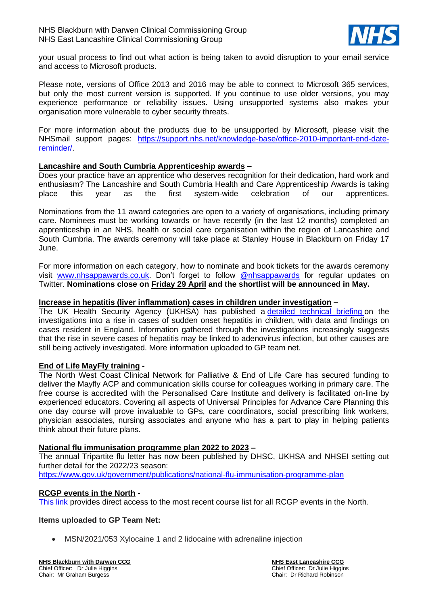

your usual process to find out what action is being taken to avoid disruption to your email service and access to Microsoft products.

Please note, versions of Office 2013 and 2016 may be able to connect to Microsoft 365 services, but only the most current version is supported. If you continue to use older versions, you may experience performance or reliability issues. Using unsupported systems also makes your organisation more vulnerable to cyber security threats.

For more information about the products due to be unsupported by Microsoft, please visit the NHSmail support pages: [https://support.nhs.net/knowledge-base/office-2010-important-end-date](https://support.nhs.net/knowledge-base/office-2010-important-end-date-reminder/)[reminder/.](https://support.nhs.net/knowledge-base/office-2010-important-end-date-reminder/)

### **Lancashire and South Cumbria Apprenticeship awards –**

Does your practice have an apprentice who deserves recognition for their dedication, hard work and enthusiasm? The Lancashire and South Cumbria Health and Care Apprenticeship Awards is taking place this year as the first system-wide celebration of our apprentices.

Nominations from the 11 award categories are open to a variety of organisations, including primary care. Nominees must be working towards or have recently (in the last 12 months) completed an apprenticeship in an NHS, health or social care organisation within the region of Lancashire and South Cumbria. The awards ceremony will take place at Stanley House in Blackburn on Friday 17 June.

For more information on each category, how to nominate and book tickets for the awards ceremony visit [www.nhsappawards.co.uk.](https://newsletter.fyldecoastccgs.nhs.uk/mailster/13842/00000000000000000000000000000000/aHR0cDovL3d3dy5uaHNhcHBhd2FyZHMuY28udWs) Don't forget to follow [@nhsappawards](https://newsletter.fyldecoastccgs.nhs.uk/mailster/13842/00000000000000000000000000000000/aHR0cHM6Ly90d2l0dGVyLmNvbS9uaHNhcHBhd2FyZHM) for regular updates on Twitter. **Nominations close on Friday 29 April and the shortlist will be announced in May.**

#### **Increase in hepatitis (liver inflammation) cases in children under investigation –**

The UK Health Security Agency (UKHSA) has published a [detailed technical briefing](https://www.gov.uk/government/publications/acute-hepatitis-technical-briefing) on the investigations into a rise in cases of sudden onset hepatitis in children, with data and findings on cases resident in England. Information gathered through the investigations increasingly suggests that the rise in severe cases of hepatitis may be linked to adenovirus infection, but other causes are still being actively investigated. More information uploaded to GP team net.

#### **End of Life MayFly training -**

The North West Coast Clinical Network for Palliative & End of Life Care has secured funding to deliver the Mayfly ACP and communication skills course for colleagues working in primary care. The free course is accredited with the Personalised Care Institute and delivery is facilitated on-line by experienced educators. Covering all aspects of Universal Principles for Advance Care Planning this one day course will prove invaluable to GPs, care coordinators, social prescribing link workers, physician associates, nursing associates and anyone who has a part to play in helping patients think about their future plans.

#### **National flu immunisation programme plan 2022 to 2023 –**

The annual Tripartite flu letter has now been published by DHSC, UKHSA and NHSEI setting out further detail for the 2022/23 season: <https://www.gov.uk/government/publications/national-flu-immunisation-programme-plan>

# **RCGP events in the North -**

[This link](https://i.emlfiles4.com/cmpdoc/7/7/0/9/9/1/files/90107_rcgp-north-course--events-sheet-2022.pdf) provides direct access to the most recent course list for all RCGP events in the North.

# **Items uploaded to GP Team Net:**

• MSN/2021/053 Xylocaine 1 and 2 lidocaine with adrenaline injection